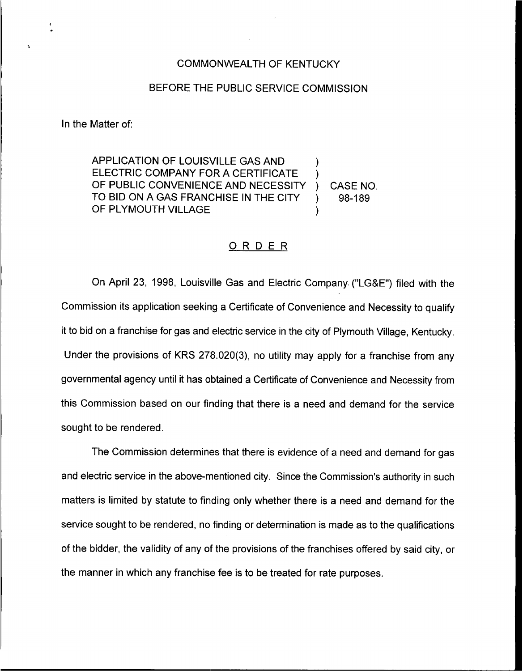## COMMONWEALTH OF KENTUCKY

## BEFORE THE PUBLIC SERVICE COMMISSION

In the Matter of:

APPLICATION OF LOUISVILLE GAS AND ) ELECTRIC COMPANY FOR A CERTIFICATE OF PUBLIC CONVENIENCE AND NECESSITY ) CASE NO.<br>TO BID ON A GAS FRANCHISE IN THE CITY ) 98-189 TO BID ON A GAS FRANCHISE IN THE CITY ) OF PLYMOUTH VILLAGE

## ORDER

On April 23, 1998, Louisville Gas and Electric Company ("LG&E") filed with the Commission its application seeking a Certificate of Convenience and Necessity to qualify it to bid on a franchise for gas and electric service in the city of Plymouth Village, Kentucky. Under the provisions of KRS 278.020(3), no utility may apply for a franchise from any governmental agency until it has obtained a Certificate of Convenience and Necessity from this Commission based on our finding that there is a need and demand for the service sought to be rendered.

The Commission determines that there is evidence of a need and demand for gas and electric service in the above-mentioned city. Since the Commission's authority in such matters is limited by statute to finding only whether there is a need and demand for the service sought to be rendered, no finding or determination is made as to the qualifications of the bidder, the validity of any of the provisions of the franchises offered by said city, or the manner in which any franchise fee is to be treated for rate purposes.